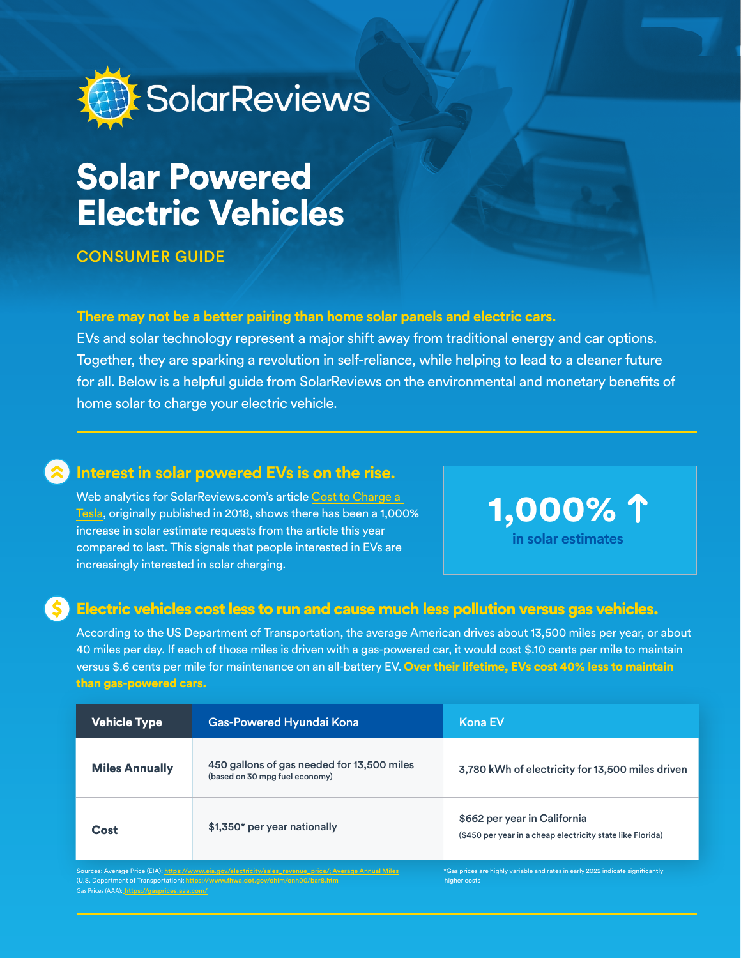

# **Solar Powered Electric Vehicles**

#### **CONSUMER GUIDE**

#### **There may not be a better pairing than home solar panels and electric cars.**

EVs and solar technology represent a major shift away from traditional energy and car options. Together, they are sparking a revolution in self-reliance, while helping to lead to a cleaner future for all. Below is a helpful guide from SolarReviews on the environmental and monetary benefits of home solar to charge your electric vehicle.

#### **Interest in solar powered EVs is on the rise.**

Web analytics for SolarReviews.com's article Cost to Charge a Tesla, originally published in 2018, shows there has been a 1,000% increase in solar estimate requests from the article this year compared to last. This signals that people interested in EVs are increasingly interested in solar charging.

 1,000% **in solar estimates** 

#### Electric vehicles cost less to run and cause much less pollution versus gas vehicles.

According to the US Department of Transportation, the average American drives about 13,500 miles per year, or about 40 miles per day. If each of those miles is driven with a gas-powered car, it would cost \$.10 cents per mile to maintain versus \$.6 cents per mile for maintenance on an all-battery EV. Over their lifetime. EVs cost 40% less to maintain than gas-powered cars.

| <b>Vehicle Type</b>                                                                                                                                                                           | Gas-Powered Hyundai Kona                                                     | <b>Kona EV</b>                                                                                 |
|-----------------------------------------------------------------------------------------------------------------------------------------------------------------------------------------------|------------------------------------------------------------------------------|------------------------------------------------------------------------------------------------|
| <b>Miles Annually</b>                                                                                                                                                                         | 450 gallons of gas needed for 13,500 miles<br>(based on 30 mpg fuel economy) | 3,780 kWh of electricity for 13,500 miles driven                                               |
| Cost                                                                                                                                                                                          | \$1,350* per year nationally                                                 | \$662 per year in California<br>(\$450 per year in a cheap electricity state like Florida)     |
| Sources: Average Price (EIA): https://www.eia.gov/electricity/sales_revenue_price/; Average Annual Miles<br>(U.S. Department of Transportation): https://www.fhwa.dot.gov/ohim/onh00/bar8.htm |                                                                              | *Gas prices are highly variable and rates in early 2022 indicate significantly<br>higher costs |

Gas Prices (AAA): *https://gasprices.aaa*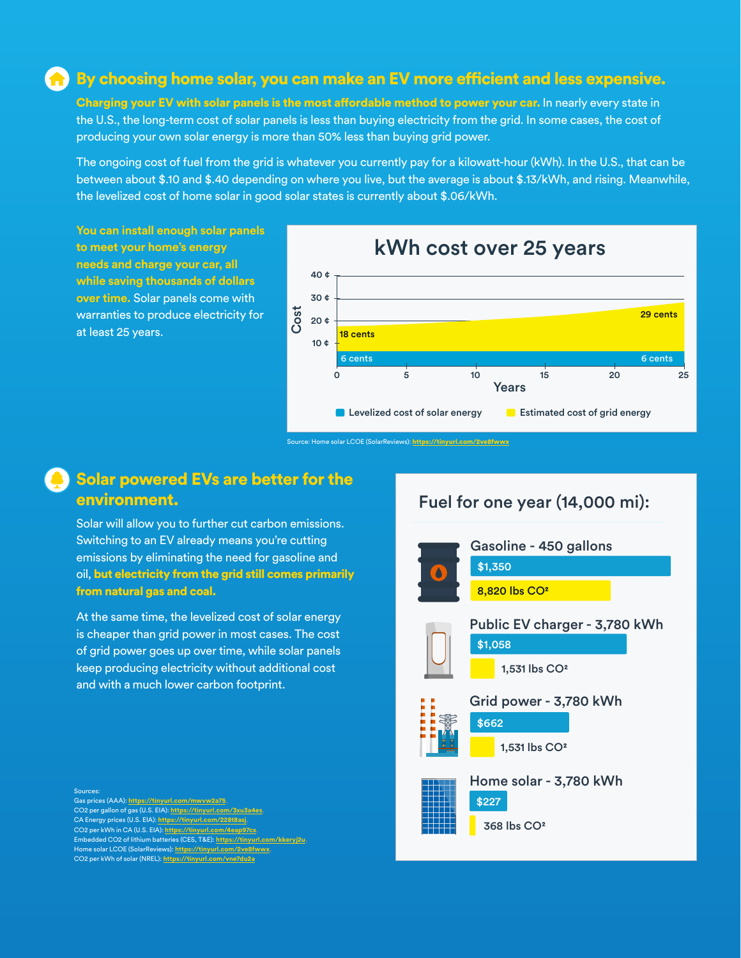#### $\bigcap$  By choosing home solar, you can make an EV more efficient and less expensive.

Charging your EV with solar panels is the most affordable method to power your car. In nearly every state in the U.S., the long-term cost of solar panels is less than buying electricity from the grid. In some cases, the cost of producing your own solar energy is more than 50% less than buying grid power.

The ongoing cost of fuel from the grid is whatever you currently pay for a kilowatt-hour (kWh). In the U.S., that can be between about \$.10 and \$.40 depending on where you live, but the average is about \$.13/kWh, and rising. Meanwhile, the levelized cost of home solar in good solar states is currently about \$.06/kWh.

**You can install enough solar panels** to meet your home's energy **needs and charge your car, all while saving thousands of dollars over time.** Solar panels come with warranties to produce electricity for at least 25 years.



Source: Home solar LCOE (SolarReviews): https://tinyurl.com/2ve8fwwx

#### Solar powered EVs are better for the .environment

Solar will allow you to further cut carbon emissions. Switching to an EV already means you're cutting emissions by eliminating the need for gasoline and oil, but electricity from the grid still comes primarily from natural gas and coal.

At the same time, the levelized cost of solar energy is cheaper than grid power in most cases. The cost of grid power goes up over time, while solar panels keep producing electricity without additional cost and with a much lower carbon footprint.

## Fuel for one year (14,000 mi):



Sources: Gas prices (AAA): https://tinyurl.com/mwvw2a75 CO2 per gallon of gas (U.S. EIA): https://t CA Energy prices (U.S. EIA): https://tinyurl.c CO2 per kWh in CA (U.S. EIA): https://t Embedded CO2 of lithium batteries (CES, T&E): https: Home solar LCOE (SolarReviews): https://tinyurl.com/1 **CO2** per kWh of solar (NREL): https://tinyurl.com